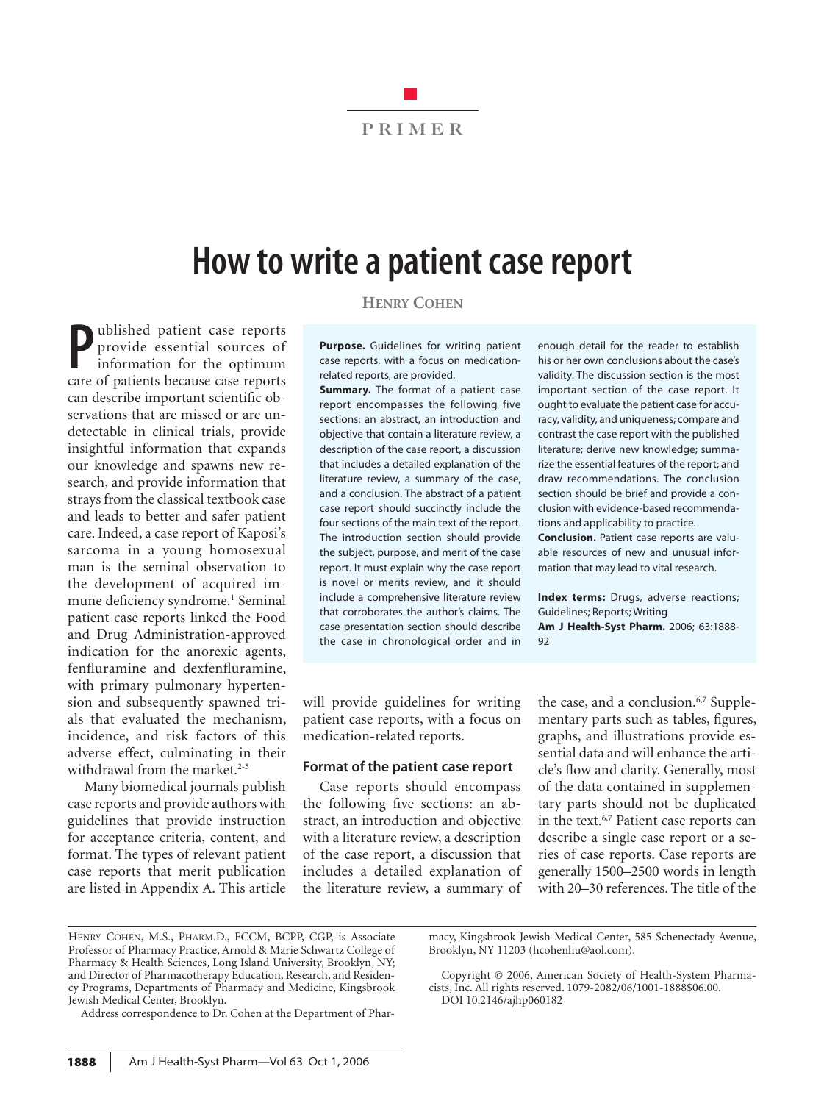# P R I M E R

# **How to write a patient case report**

**P** ublished patient case reports<br>provide essential sources of<br>information for the optimum<br>care of patients because case reports ublished patient case reports provide essential sources of information for the optimum can describe important scientific observations that are missed or are undetectable in clinical trials, provide insightful information that expands our knowledge and spawns new research, and provide information that strays from the classical textbook case and leads to better and safer patient care. Indeed, a case report of Kaposi's sarcoma in a young homosexual man is the seminal observation to the development of acquired immune deficiency syndrome.<sup>1</sup> Seminal patient case reports linked the Food and Drug Administration-approved indication for the anorexic agents, fenfluramine and dexfenfluramine, with primary pulmonary hypertension and subsequently spawned trials that evaluated the mechanism, incidence, and risk factors of this adverse effect, culminating in their withdrawal from the market. $2-5$ 

Many biomedical journals publish case reports and provide authors with guidelines that provide instruction for acceptance criteria, content, and format. The types of relevant patient case reports that merit publication are listed in Appendix A. This article

# **HENRY COHEN**

**Purpose.** Guidelines for writing patient case reports, with a focus on medicationrelated reports, are provided.

**Summary.** The format of a patient case report encompasses the following five sections: an abstract, an introduction and objective that contain a literature review, a description of the case report, a discussion that includes a detailed explanation of the literature review, a summary of the case, and a conclusion. The abstract of a patient case report should succinctly include the four sections of the main text of the report. The introduction section should provide the subject, purpose, and merit of the case report. It must explain why the case report is novel or merits review, and it should include a comprehensive literature review that corroborates the author's claims. The case presentation section should describe the case in chronological order and in enough detail for the reader to establish his or her own conclusions about the case's validity. The discussion section is the most important section of the case report. It ought to evaluate the patient case for accuracy, validity, and uniqueness; compare and contrast the case report with the published literature; derive new knowledge; summarize the essential features of the report; and draw recommendations. The conclusion section should be brief and provide a conclusion with evidence-based recommendations and applicability to practice.

**Conclusion.** Patient case reports are valuable resources of new and unusual information that may lead to vital research.

**Index terms:** Drugs, adverse reactions; Guidelines; Reports; Writing **Am J Health-Syst Pharm.** 2006; 63:1888- 92

will provide guidelines for writing patient case reports, with a focus on medication-related reports.

# **Format of the patient case report**

Case reports should encompass the following five sections: an abstract, an introduction and objective with a literature review, a description of the case report, a discussion that includes a detailed explanation of the literature review, a summary of

the case, and a conclusion.<sup>6,7</sup> Supplementary parts such as tables, figures, graphs, and illustrations provide essential data and will enhance the article's flow and clarity. Generally, most of the data contained in supplementary parts should not be duplicated in the text.6,7 Patient case reports can describe a single case report or a series of case reports. Case reports are generally 1500–2500 words in length with 20–30 references. The title of the

Address correspondence to Dr. Cohen at the Department of Phar-

macy, Kingsbrook Jewish Medical Center, 585 Schenectady Avenue, Brooklyn, NY 11203 (hcohenliu@aol.com).

Copyright © 2006, American Society of Health-System Pharmacists, Inc. All rights reserved. 1079-2082/06/1001-1888\$06.00. DOI 10.2146/ajhp060182

HENRY COHEN, M.S., PHARM.D., FCCM, BCPP, CGP, is Associate Professor of Pharmacy Practice, Arnold & Marie Schwartz College of Pharmacy & Health Sciences, Long Island University, Brooklyn, NY; and Director of Pharmacotherapy Education, Research, and Residency Programs, Departments of Pharmacy and Medicine, Kingsbrook Jewish Medical Center, Brooklyn.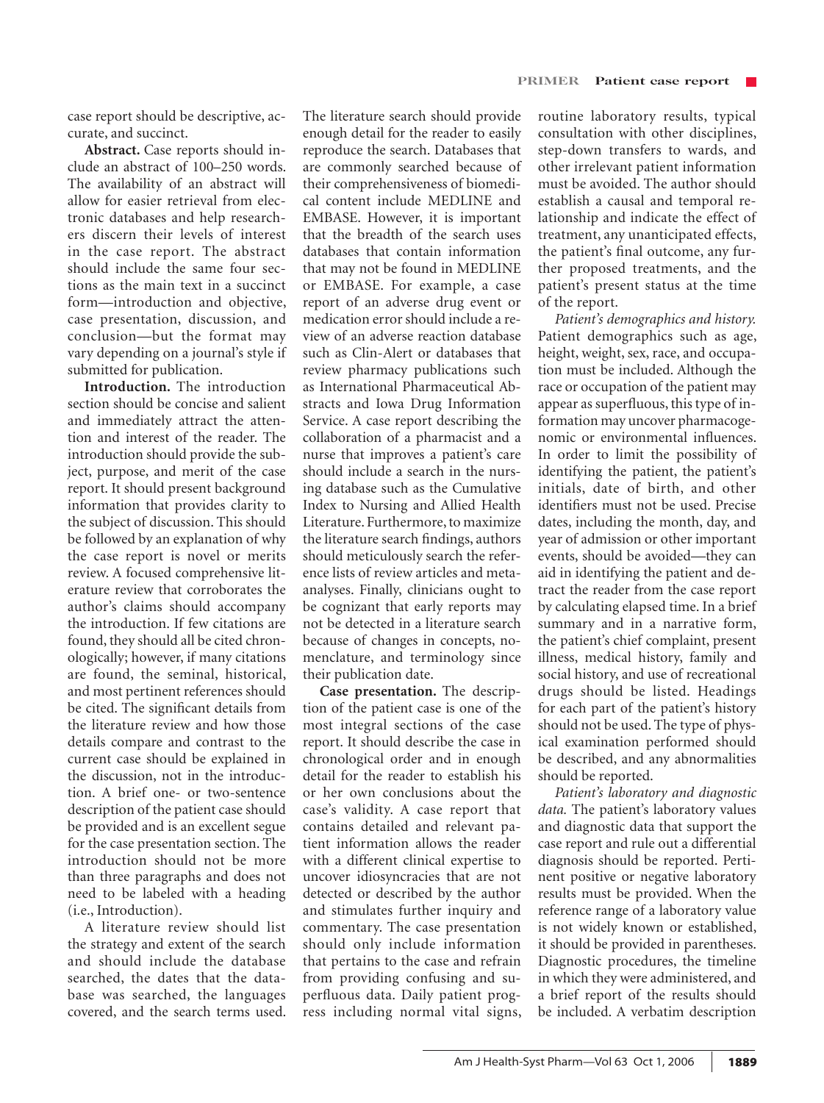a s

case report should be descriptive, accurate, and succinct.

**Abstract.** Case reports should include an abstract of 100–250 words. The availability of an abstract will allow for easier retrieval from electronic databases and help researchers discern their levels of interest in the case report. The abstract should include the same four sections as the main text in a succinct form—introduction and objective, case presentation, discussion, and conclusion—but the format may vary depending on a journal's style if submitted for publication.

**Introduction.** The introduction section should be concise and salient and immediately attract the attention and interest of the reader. The introduction should provide the subject, purpose, and merit of the case report. It should present background information that provides clarity to the subject of discussion. This should be followed by an explanation of why the case report is novel or merits review. A focused comprehensive literature review that corroborates the author's claims should accompany the introduction. If few citations are found, they should all be cited chronologically; however, if many citations are found, the seminal, historical, and most pertinent references should be cited. The significant details from the literature review and how those details compare and contrast to the current case should be explained in the discussion, not in the introduction. A brief one- or two-sentence description of the patient case should be provided and is an excellent segue for the case presentation section. The introduction should not be more than three paragraphs and does not need to be labeled with a heading (i.e., Introduction).

A literature review should list the strategy and extent of the search and should include the database searched, the dates that the database was searched, the languages covered, and the search terms used. The literature search should provide enough detail for the reader to easily reproduce the search. Databases that are commonly searched because of their comprehensiveness of biomedical content include MEDLINE and EMBASE. However, it is important that the breadth of the search uses databases that contain information that may not be found in MEDLINE or EMBASE. For example, a case report of an adverse drug event or medication error should include a review of an adverse reaction database such as Clin-Alert or databases that review pharmacy publications such as International Pharmaceutical Abstracts and Iowa Drug Information Service. A case report describing the collaboration of a pharmacist and a nurse that improves a patient's care should include a search in the nursing database such as the Cumulative Index to Nursing and Allied Health Literature. Furthermore, to maximize the literature search findings, authors should meticulously search the reference lists of review articles and metaanalyses. Finally, clinicians ought to be cognizant that early reports may not be detected in a literature search because of changes in concepts, nomenclature, and terminology since their publication date.

**Case presentation.** The description of the patient case is one of the most integral sections of the case report. It should describe the case in chronological order and in enough detail for the reader to establish his or her own conclusions about the case's validity. A case report that contains detailed and relevant patient information allows the reader with a different clinical expertise to uncover idiosyncracies that are not detected or described by the author and stimulates further inquiry and commentary. The case presentation should only include information that pertains to the case and refrain from providing confusing and superfluous data. Daily patient progress including normal vital signs,

routine laboratory results, typical consultation with other disciplines, step-down transfers to wards, and other irrelevant patient information must be avoided. The author should establish a causal and temporal relationship and indicate the effect of treatment, any unanticipated effects, the patient's final outcome, any further proposed treatments, and the patient's present status at the time of the report.

*Patient's demographics and history.*  Patient demographics such as age, height, weight, sex, race, and occupation must be included. Although the race or occupation of the patient may appear as superfluous, this type of information may uncover pharmacogenomic or environmental influences. In order to limit the possibility of identifying the patient, the patient's initials, date of birth, and other identifiers must not be used. Precise dates, including the month, day, and year of admission or other important events, should be avoided—they can aid in identifying the patient and detract the reader from the case report by calculating elapsed time. In a brief summary and in a narrative form, the patient's chief complaint, present illness, medical history, family and social history, and use of recreational drugs should be listed. Headings for each part of the patient's history should not be used. The type of physical examination performed should be described, and any abnormalities should be reported.

*Patient's laboratory and diagnostic data.* The patient's laboratory values and diagnostic data that support the case report and rule out a differential diagnosis should be reported. Pertinent positive or negative laboratory results must be provided. When the reference range of a laboratory value is not widely known or established, it should be provided in parentheses. Diagnostic procedures, the timeline in which they were administered, and a brief report of the results should be included. A verbatim description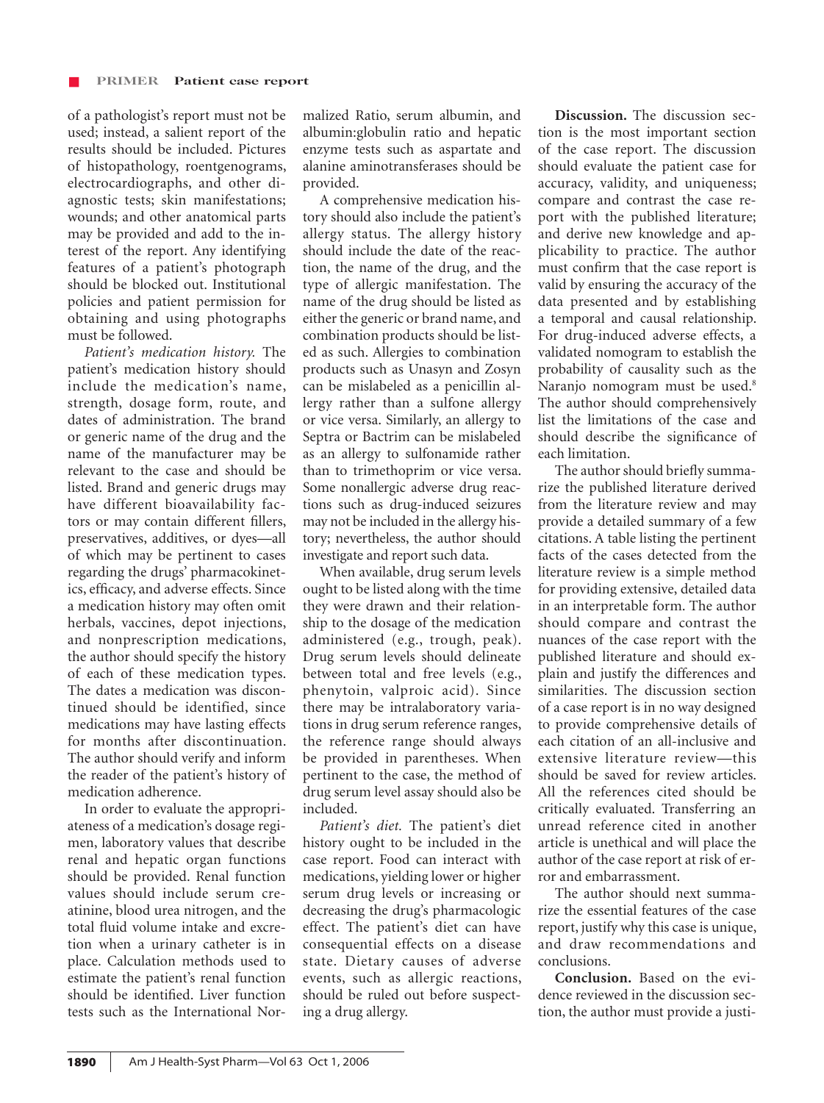of a pathologist's report must not be used; instead, a salient report of the results should be included. Pictures of histopathology, roentgenograms, electrocardiographs, and other diagnostic tests; skin manifestations; wounds; and other anatomical parts may be provided and add to the interest of the report. Any identifying features of a patient's photograph should be blocked out. Institutional policies and patient permission for obtaining and using photographs must be followed.

*Patient's medication history.* The patient's medication history should include the medication's name, strength, dosage form, route, and dates of administration. The brand or generic name of the drug and the name of the manufacturer may be relevant to the case and should be listed. Brand and generic drugs may have different bioavailability factors or may contain different fillers, preservatives, additives, or dyes—all of which may be pertinent to cases regarding the drugs' pharmacokinetics, efficacy, and adverse effects. Since a medication history may often omit herbals, vaccines, depot injections, and nonprescription medications, the author should specify the history of each of these medication types. The dates a medication was discontinued should be identified, since medications may have lasting effects for months after discontinuation. The author should verify and inform the reader of the patient's history of medication adherence.

In order to evaluate the appropriateness of a medication's dosage regimen, laboratory values that describe renal and hepatic organ functions should be provided. Renal function values should include serum creatinine, blood urea nitrogen, and the total fluid volume intake and excretion when a urinary catheter is in place. Calculation methods used to estimate the patient's renal function should be identified. Liver function tests such as the International Normalized Ratio, serum albumin, and albumin:globulin ratio and hepatic enzyme tests such as aspartate and alanine aminotransferases should be provided.

A comprehensive medication history should also include the patient's allergy status. The allergy history should include the date of the reaction, the name of the drug, and the type of allergic manifestation. The name of the drug should be listed as either the generic or brand name, and combination products should be listed as such. Allergies to combination products such as Unasyn and Zosyn can be mislabeled as a penicillin allergy rather than a sulfone allergy or vice versa. Similarly, an allergy to Septra or Bactrim can be mislabeled as an allergy to sulfonamide rather than to trimethoprim or vice versa. Some nonallergic adverse drug reactions such as drug-induced seizures may not be included in the allergy history; nevertheless, the author should investigate and report such data.

When available, drug serum levels ought to be listed along with the time they were drawn and their relationship to the dosage of the medication administered (e.g., trough, peak). Drug serum levels should delineate between total and free levels (e.g., phenytoin, valproic acid). Since there may be intralaboratory variations in drug serum reference ranges, the reference range should always be provided in parentheses. When pertinent to the case, the method of drug serum level assay should also be included.

*Patient's diet.* The patient's diet history ought to be included in the case report. Food can interact with medications, yielding lower or higher serum drug levels or increasing or decreasing the drug's pharmacologic effect. The patient's diet can have consequential effects on a disease state. Dietary causes of adverse events, such as allergic reactions, should be ruled out before suspecting a drug allergy.

**Discussion.** The discussion section is the most important section of the case report. The discussion should evaluate the patient case for accuracy, validity, and uniqueness; compare and contrast the case report with the published literature; and derive new knowledge and applicability to practice. The author must confirm that the case report is valid by ensuring the accuracy of the data presented and by establishing a temporal and causal relationship. For drug-induced adverse effects, a validated nomogram to establish the probability of causality such as the Naranjo nomogram must be used.8 The author should comprehensively list the limitations of the case and should describe the significance of each limitation.

The author should briefly summarize the published literature derived from the literature review and may provide a detailed summary of a few citations. A table listing the pertinent facts of the cases detected from the literature review is a simple method for providing extensive, detailed data in an interpretable form. The author should compare and contrast the nuances of the case report with the published literature and should explain and justify the differences and similarities. The discussion section of a case report is in no way designed to provide comprehensive details of each citation of an all-inclusive and extensive literature review—this should be saved for review articles. All the references cited should be critically evaluated. Transferring an unread reference cited in another article is unethical and will place the author of the case report at risk of error and embarrassment.

The author should next summarize the essential features of the case report, justify why this case is unique, and draw recommendations and conclusions.

**Conclusion.** Based on the evidence reviewed in the discussion section, the author must provide a justi-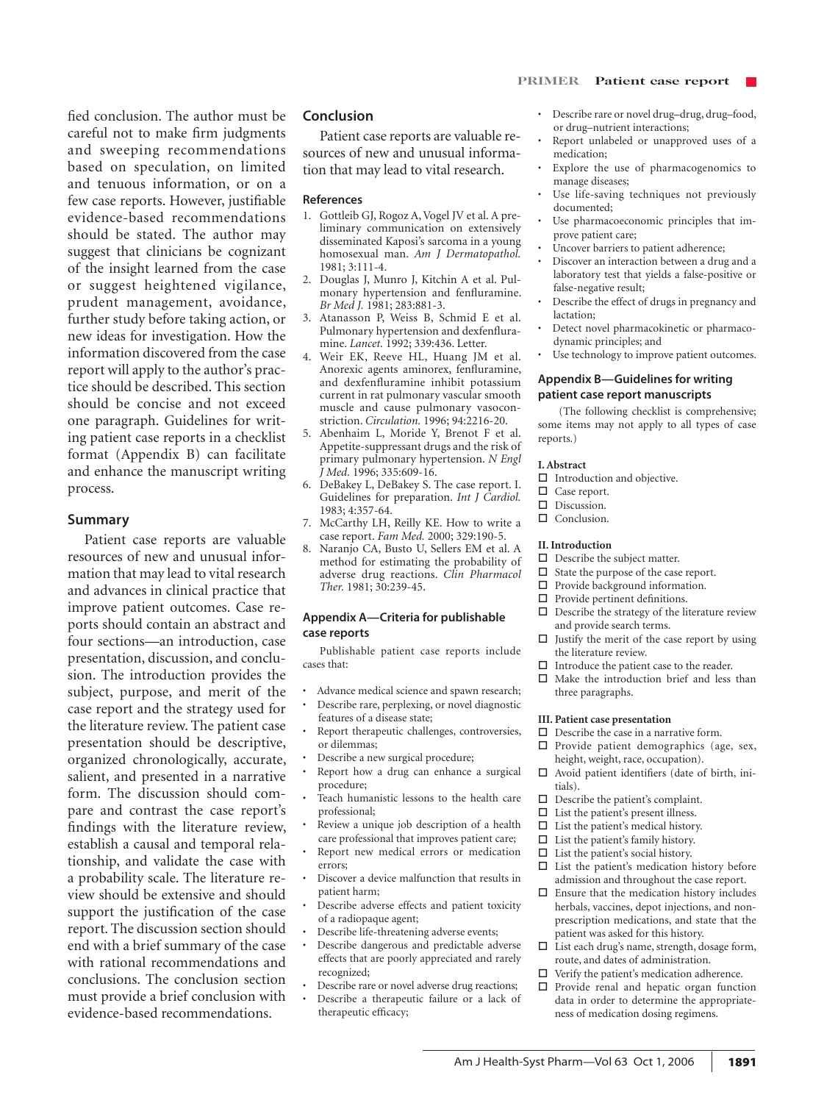fied conclusion. The author must be careful not to make firm judgments and sweeping recommendations based on speculation, on limited and tenuous information, or on a few case reports. However, justifiable evidence-based recommendations should be stated. The author may suggest that clinicians be cognizant of the insight learned from the case or suggest heightened vigilance, prudent management, avoidance, further study before taking action, or new ideas for investigation. How the information discovered from the case report will apply to the author's practice should be described. This section should be concise and not exceed one paragraph. Guidelines for writing patient case reports in a checklist format (Appendix B) can facilitate and enhance the manuscript writing process.

# **Summary**

Patient case reports are valuable resources of new and unusual information that may lead to vital research and advances in clinical practice that improve patient outcomes. Case reports should contain an abstract and four sections—an introduction, case presentation, discussion, and conclusion. The introduction provides the subject, purpose, and merit of the case report and the strategy used for the literature review. The patient case presentation should be descriptive, organized chronologically, accurate, salient, and presented in a narrative form. The discussion should compare and contrast the case report's findings with the literature review, establish a causal and temporal relationship, and validate the case with a probability scale. The literature review should be extensive and should support the justification of the case report. The discussion section should end with a brief summary of the case with rational recommendations and conclusions. The conclusion section must provide a brief conclusion with evidence-based recommendations.

# **Conclusion**

Patient case reports are valuable resources of new and unusual information that may lead to vital research.

### **References**

- 1. Gottleib GJ, Rogoz A, Vogel JV et al. A preliminary communication on extensively disseminated Kaposi's sarcoma in a young homosexual man. *Am J Dermatopathol.* 1981; 3:111-4.
- 2. Douglas J, Munro J, Kitchin A et al. Pulmonary hypertension and fenfluramine. *Br Med J.* 1981; 283:881-3.
- 3. Atanasson P, Weiss B, Schmid E et al. Pulmonary hypertension and dexfenfluramine. *Lancet.* 1992; 339:436. Letter.
- 4. Weir EK, Reeve HL, Huang JM et al. Anorexic agents aminorex, fenfluramine, and dexfenfluramine inhibit potassium current in rat pulmonary vascular smooth muscle and cause pulmonary vasoconstriction. *Circulation.* 1996; 94:2216-20.
- 5. Abenhaim L, Moride Y, Brenot F et al. Appetite-suppressant drugs and the risk of primary pulmonary hypertension. *N Engl J Med.* 1996; 335:609-16.
- 6. DeBakey L, DeBakey S. The case report. I. Guidelines for preparation. *Int J Cardiol.* 1983; 4:357-64.
- 7. McCarthy LH, Reilly KE. How to write a case report. *Fam Med.* 2000; 329:190-5.
- 8. Naranjo CA, Busto U, Sellers EM et al. A method for estimating the probability of adverse drug reactions. *Clin Pharmacol Ther.* 1981; 30:239-45.

# **Appendix A—Criteria for publishable case reports**

Publishable patient case reports include cases that:

- 
- Advance medical science and spawn research; • Describe rare, perplexing, or novel diagnostic
- features of a disease state; Report therapeutic challenges, controversies,
	- or dilemmas;
- Describe a new surgical procedure;
- Report how a drug can enhance a surgical procedure;
- Teach humanistic lessons to the health care professional;
- Review a unique job description of a health care professional that improves patient care;
- Report new medical errors or medication errors;
- Discover a device malfunction that results in patient harm;
- Describe adverse effects and patient toxicity of a radiopaque agent;
- Describe life-threatening adverse events;
- Describe dangerous and predictable adverse effects that are poorly appreciated and rarely recognized;
- Describe rare or novel adverse drug reactions;
- Describe a therapeutic failure or a lack of therapeutic efficacy;
- Describe rare or novel drug–drug, drug–food, or drug–nutrient interactions;
- Report unlabeled or unapproved uses of a medication;
- Explore the use of pharmacogenomics to manage diseases;
- Use life-saving techniques not previously documented;
- Use pharmacoeconomic principles that improve patient care;
- Uncover barriers to patient adherence;
- Discover an interaction between a drug and a laboratory test that yields a false-positive or false-negative result;
- Describe the effect of drugs in pregnancy and lactation;
- Detect novel pharmacokinetic or pharmacodynamic principles; and
- Use technology to improve patient outcomes.

## **Appendix B—Guidelines for writing patient case report manuscripts**

 (The following checklist is comprehensive; some items may not apply to all types of case reports.)

#### **I. Abstract**

- $\Box$  Introduction and objective.
- □ Case report.
- D Discussion.
- □ Conclusion.

#### **II. Introduction**

- $\square$  Describe the subject matter.
- $\Box$  State the purpose of the case report.
- $\square$  Provide background information.
- $\Box$  Provide pertinent definitions.
- $\square$  Describe the strategy of the literature review and provide search terms.
- $\Box$  Justify the merit of the case report by using the literature review.
- $\Box$  Introduce the patient case to the reader.
- $\square$  Make the introduction brief and less than three paragraphs.

#### **III. Patient case presentation**

- $\square$  Describe the case in a narrative form.
- $\square$  Provide patient demographics (age, sex, height, weight, race, occupation).
- $\Box$  Avoid patient identifiers (date of birth, initials).
- Describe the patient's complaint.
- $\Box$  List the patient's present illness.
- $\Box~$  List the patient's medical history.
- $\Box~$  List the patient's family history.
- $\Box$  List the patient's social history.
- $\Box$  List the patient's medication history before admission and throughout the case report.
- $\square$  Ensure that the medication history includes herbals, vaccines, depot injections, and nonprescription medications, and state that the patient was asked for this history.
- $\Box~$  List each drug's name, strength, dosage form, route, and dates of administration.
- $\Box$  Verify the patient's medication adherence.
- $\square$  Provide renal and hepatic organ function data in order to determine the appropriateness of medication dosing regimens.